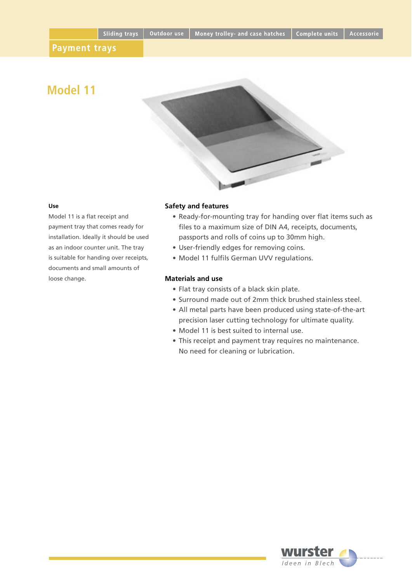# **Model 11**



#### **Use**

Model 11 is a flat receipt and payment tray that comes ready for installation. Ideally it should be used as an indoor counter unit. The tray is suitable for handing over receipts, documents and small amounts of loose change.

### **Safety and features**

- Ready-for-mounting tray for handing over flat items such as files to a maximum size of DIN A4, receipts, documents, passports and rolls of coins up to 30mm high.
- User-friendly edges for removing coins.
- Model 11 fulfils German UVV regulations.

# **Materials and use**

- Flat tray consists of a black skin plate.
- Surround made out of 2mm thick brushed stainless steel.
- All metal parts have been produced using state-of-the-art precision laser cutting technology for ultimate quality.
- Model 11 is best suited to internal use.
- This receipt and payment tray requires no maintenance. No need for cleaning or lubrication.